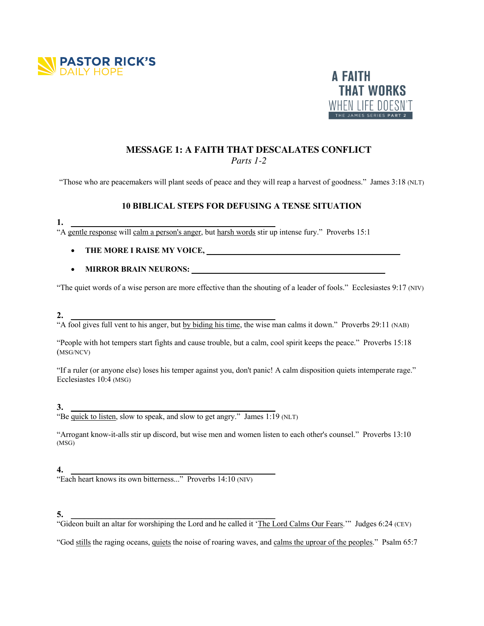



# **MESSAGE 1: A FAITH THAT DESCALATES CONFLICT** *Parts 1-2*

"Those who are peacemakers will plant seeds of peace and they will reap a harvest of goodness." James 3:18 (NLT)

## **10 BIBLICAL STEPS FOR DEFUSING A TENSE SITUATION**

#### **1. \_\_\_\_\_\_\_\_\_\_\_\_\_\_\_\_\_\_\_\_\_\_\_\_\_\_\_\_\_\_\_\_\_\_\_\_\_\_\_\_\_\_\_\_\_\_\_**

"A gentle response will calm a person's anger, but harsh words stir up intense fury." Proverbs 15:1

- **THE MORE I RAISE MY VOICE, \_\_\_\_\_\_\_\_\_\_\_\_\_\_\_\_\_\_\_\_\_\_\_\_\_\_\_\_\_\_\_\_\_\_\_\_\_\_\_\_\_\_\_\_\_\_\_\_\_**
- **MIRROR BRAIN NEURONS: \_\_\_\_\_\_\_\_\_\_\_\_\_\_\_\_\_\_\_\_\_\_\_\_\_\_\_\_\_\_\_\_\_\_\_\_\_\_\_\_\_\_\_\_\_\_\_\_\_**

"The quiet words of a wise person are more effective than the shouting of a leader of fools." Ecclesiastes 9:17 (NIV)

### **2. \_\_\_\_\_\_\_\_\_\_\_\_\_\_\_\_\_\_\_\_\_\_\_\_\_\_\_\_\_\_\_\_\_\_\_\_\_\_\_\_\_\_\_\_\_\_\_**

"A fool gives full vent to his anger, but by biding his time, the wise man calms it down." Proverbs 29:11 (NAB)

"People with hot tempers start fights and cause trouble, but a calm, cool spirit keeps the peace." Proverbs 15:18 (MSG/NCV)

"If a ruler (or anyone else) loses his temper against you, don't panic! A calm disposition quiets intemperate rage." Ecclesiastes 10:4 (MSG)

### **3. \_\_\_\_\_\_\_\_\_\_\_\_\_\_\_\_\_\_\_\_\_\_\_\_\_\_\_\_\_\_\_\_\_\_\_\_\_\_\_\_\_\_\_\_\_\_\_**

"Be quick to listen, slow to speak, and slow to get angry." James 1:19 (NLT)

"Arrogant know-it-alls stir up discord, but wise men and women listen to each other's counsel." Proverbs 13:10 (MSG)

#### **4. \_\_\_\_\_\_\_\_\_\_\_\_\_\_\_\_\_\_\_\_\_\_\_\_\_\_\_\_\_\_\_\_\_\_\_\_\_\_\_\_\_\_\_\_\_\_\_**

"Each heart knows its own bitterness..." Proverbs 14:10 (NIV)

#### **5. \_\_\_\_\_\_\_\_\_\_\_\_\_\_\_\_\_\_\_\_\_\_\_\_\_\_\_\_\_\_\_\_\_\_\_\_\_\_\_\_\_\_\_\_\_\_\_**

"Gideon built an altar for worshiping the Lord and he called it 'The Lord Calms Our Fears.'" Judges 6:24 (CEV)

"God stills the raging oceans, quiets the noise of roaring waves, and calms the uproar of the peoples." Psalm 65:7